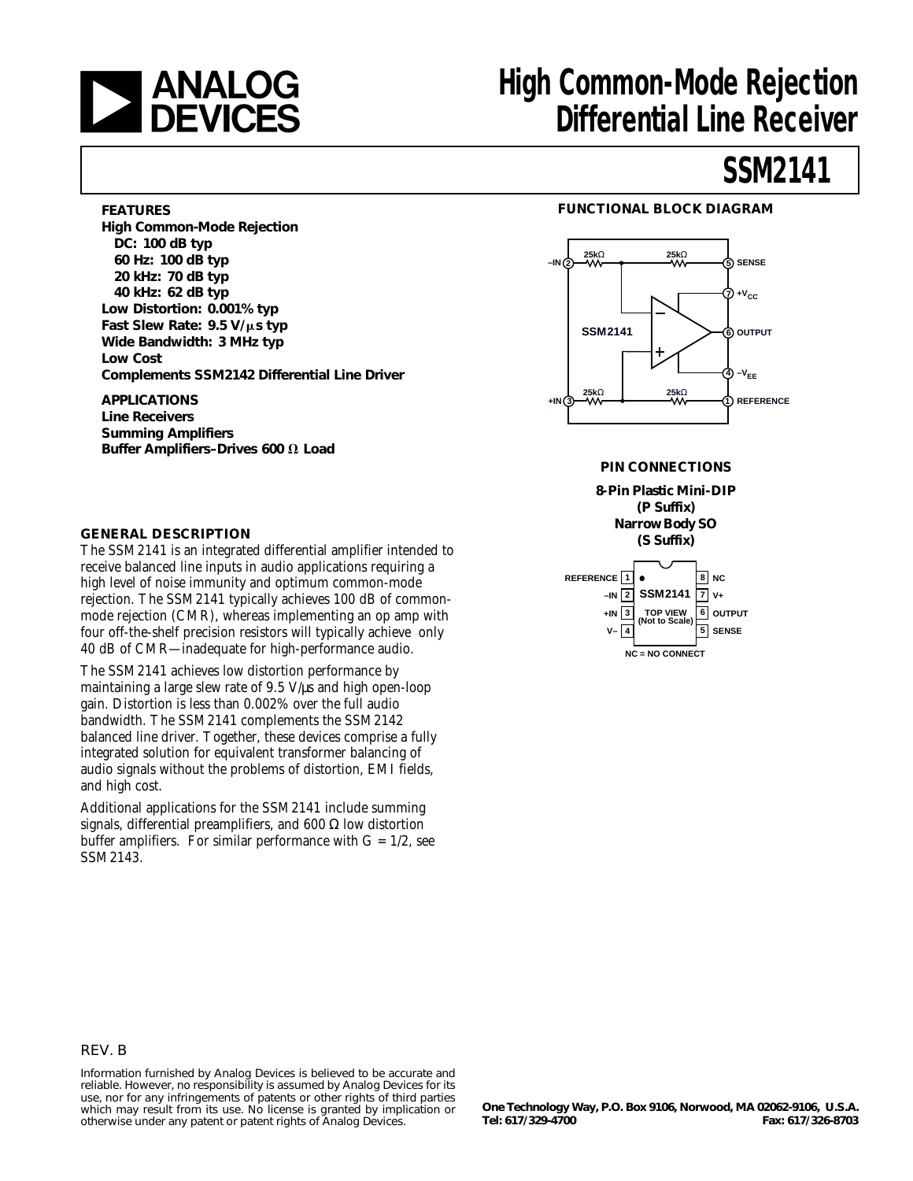

# **ANALOG** High Common-Mode Rejection<br>Differential Line Receiver **Differential Line Receiver**

# **SSM2141**

### **FEATURES**

**High Common-Mode Rejection DC: 100 dB typ 60 Hz: 100 dB typ 20 kHz: 70 dB typ 40 kHz: 62 dB typ Low Distortion: 0.001% typ Fast Slew Rate: 9.5 V/µs typ Wide Bandwidth: 3 MHz typ Low Cost Complements SSM2142 Differential Line Driver**

**APPLICATIONS Line Receivers Summing Amplifiers Buffer Amplifiers-Drives 600 Ω Load** 

### **GENERAL DESCRIPTION**

The SSM2141 is an integrated differential amplifier intended to receive balanced line inputs in audio applications requiring a high level of noise immunity and optimum common-mode rejection. The SSM2141 typically achieves 100 dB of commonmode rejection (CMR), whereas implementing an op amp with four off-the-shelf precision resistors will typically achieve only 40 dB of CMR—inadequate for high-performance audio.

The SSM2141 achieves low distortion performance by maintaining a large slew rate of 9.5 V/ $\mu$ s and high open-loop gain. Distortion is less than 0.002% over the full audio bandwidth. The SSM2141 complements the SSM2142 balanced line driver. Together, these devices comprise a fully integrated solution for equivalent transformer balancing of audio signals without the problems of distortion, EMI fields, and high cost.

Additional applications for the SSM2141 include summing signals, differential preamplifiers, and 600  $\Omega$  low distortion buffer amplifiers. For similar performance with  $G = 1/2$ , see SSM2143.

### **FUNCTIONAL BLOCK DIAGRAM**



### **PIN CONNECTIONS**

#### **8-Pin Plastic Mini-DIP (P Suffix) Narrow Body SO (S Suffix)**



### REV. B

Information furnished by Analog Devices is believed to be accurate and reliable. However, no responsibility is assumed by Analog Devices for its use, nor for any infringements of patents or other rights of third parties which may result from its use. No license is granted by implication or otherwise under any patent or patent rights of Analog Devices.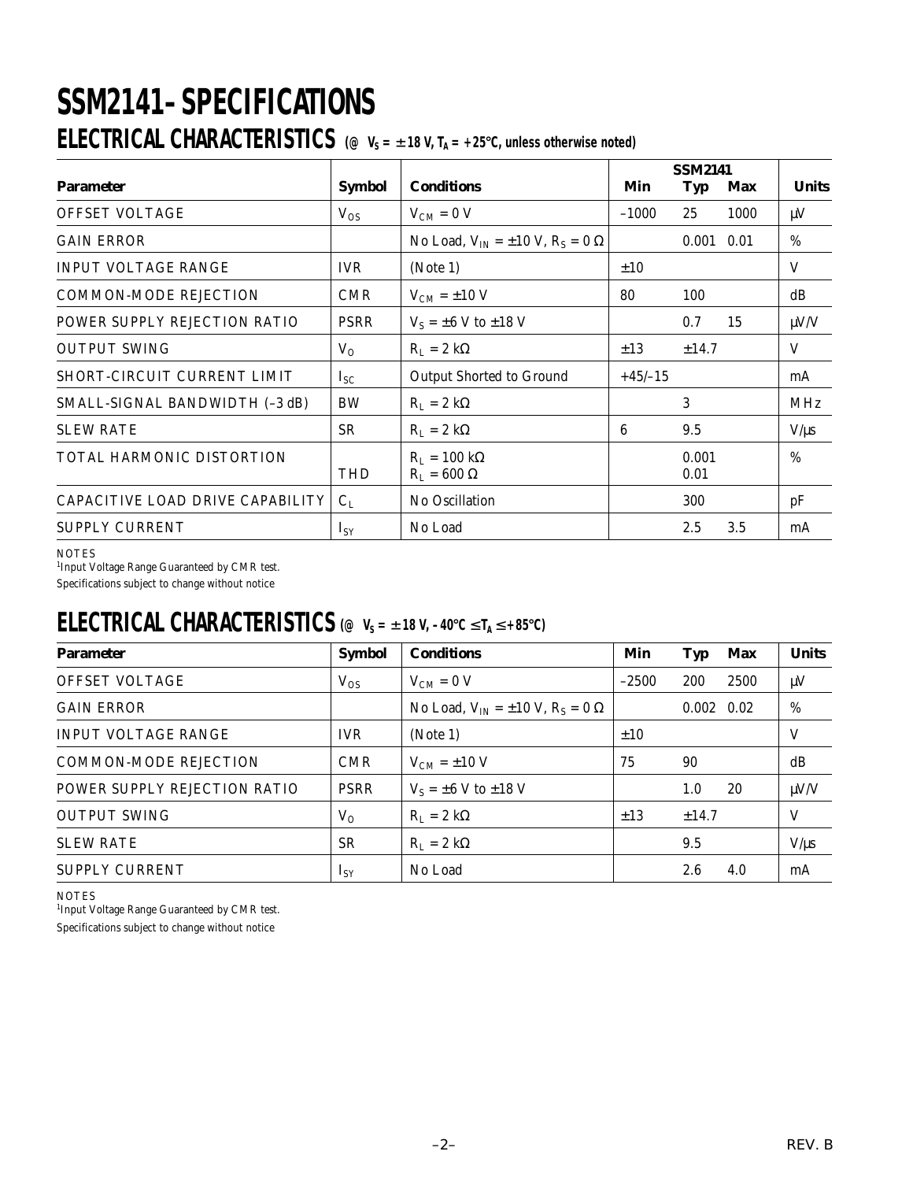# **SSM2141–SPECIFICATIONS ELECTRICAL CHARACTERISTICS** ( $\textcircled{\tiny o}$  V<sub>S</sub> =  $\pm$ 18 V, T<sub>A</sub> = +25°C, unless otherwise noted)

|                                  |               |                                                     | <b>SSM2141</b> |               |      |              |
|----------------------------------|---------------|-----------------------------------------------------|----------------|---------------|------|--------------|
| <b>Parameter</b>                 | <b>Symbol</b> | <b>Conditions</b>                                   | Min            | Typ           | Max  | <b>Units</b> |
| <b>OFFSET VOLTAGE</b>            | $V_{OS}$      | $V_{CM} = 0 V$                                      | $-1000$        | 25            | 1000 | $\mu$ V      |
| <b>GAIN ERROR</b>                |               | No Load, $V_{IN} = \pm 10$ V, $R_S = 0$ $\Omega$    |                | 0.001         | 0.01 | $\%$         |
| <b>INPUT VOLTAGE RANGE</b>       | <b>IVR</b>    | (Note 1)                                            | $\pm 10$       |               |      | V            |
| <b>COMMON-MODE REJECTION</b>     | <b>CMR</b>    | $V_{CM}$ = $\pm 10$ V                               | 80             | 100           |      | dB           |
| POWER SUPPLY REJECTION RATIO     | <b>PSRR</b>   | $V_s = \pm 6$ V to $\pm 18$ V                       |                | 0.7           | 15   | $\mu V/V$    |
| <b>OUTPUT SWING</b>              | $V_{O}$       | $R_L = 2 k\Omega$                                   | $\pm 13$       | $\pm 14.7$    |      | V            |
| SHORT-CIRCUIT CURRENT LIMIT      | $I_{SC}$      | Output Shorted to Ground                            | $+45/–15$      |               |      | mA           |
| SMALL-SIGNAL BANDWIDTH (-3 dB)   | BW            | $R_L = 2 k\Omega$                                   |                | 3             |      | <b>MHz</b>   |
| <b>SLEW RATE</b>                 | <b>SR</b>     | $R_L = 2 k\Omega$                                   | 6              | 9.5           |      | $V/\mu s$    |
| TOTAL HARMONIC DISTORTION        | <b>THD</b>    | $R_{L} = 100 \text{ k}\Omega$<br>$R_I = 600 \Omega$ |                | 0.001<br>0.01 |      | $\%$         |
| CAPACITIVE LOAD DRIVE CAPABILITY | $C_{L}$       | No Oscillation                                      |                | 300           |      | pF           |
| <b>SUPPLY CURRENT</b>            | $I_{SY}$      | No Load                                             |                | 2.5           | 3.5  | mA           |

**NOTES** 

<sup>1</sup>Input Voltage Range Guaranteed by CMR test.

Specifications subject to change without notice

### **ELECTRICAL CHARACTERISTICS** (@  $V_S = ±18 V$ , −40°C ≤ T<sub>A</sub> ≤ +85°C)

| <b>Parameter</b>             | <b>Symbol</b> | <b>Conditions</b>                                | Min      | Typ                | Max  | <b>Units</b> |
|------------------------------|---------------|--------------------------------------------------|----------|--------------------|------|--------------|
| <b>OFFSET VOLTAGE</b>        | $V_{OS}$      | $V_{CM} = 0 V$                                   | $-2500$  | 200                | 2500 | $\mu$ V      |
| <b>GAIN ERROR</b>            |               | No Load, $V_{IN} = \pm 10$ V, $R_S = 0$ $\Omega$ |          | $0.002 \quad 0.02$ |      | %            |
| <b>INPUT VOLTAGE RANGE</b>   | <b>IVR</b>    | (Note 1)<br>±10                                  |          |                    | V    |              |
| <b>COMMON-MODE REJECTION</b> | <b>CMR</b>    | $V_{CM} = \pm 10$ V                              | 75       | 90                 |      | dB           |
| POWER SUPPLY REJECTION RATIO | <b>PSRR</b>   | $V_s = \pm 6$ V to $\pm 18$ V                    |          | 1.0                | 20   | $\mu V/V$    |
| <b>OUTPUT SWING</b>          | $V_{O}$       | $R_L = 2 k\Omega$                                | $\pm 13$ | $\pm$ 14.7         |      | V            |
| <b>SLEW RATE</b>             | <b>SR</b>     | $R_L = 2 k\Omega$                                |          | 9.5                |      | $V/\mu s$    |
| <b>SUPPLY CURRENT</b>        | $I_{SV}$      | No Load                                          |          | 2.6                | 4.0  | mA           |

**NOTES** 

<sup>1</sup>Input Voltage Range Guaranteed by CMR test.

Specifications subject to change without notice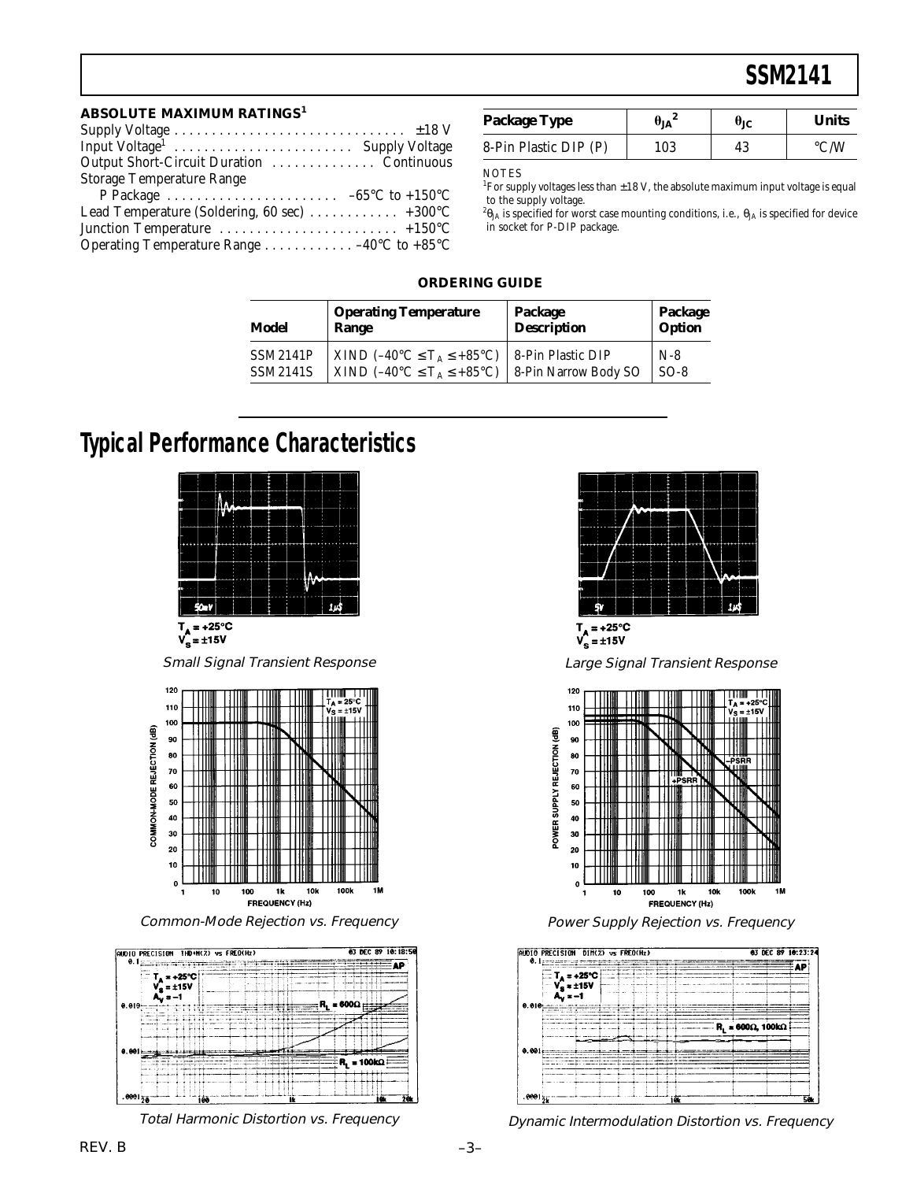### **SSM2141**

#### **ABSOLUTE MAXIMUM RATINGS<sup>1</sup>**

| Input Voltage <sup>1</sup> Supply Voltage<br>Output Short-Circuit Duration  Continuous |
|----------------------------------------------------------------------------------------|
|                                                                                        |
|                                                                                        |
| <b>Storage Temperature Range</b>                                                       |
| P Package $\ldots \ldots \ldots \ldots \ldots \ldots \ldots -65^{\circ}C$ to +150 °C   |
| Lead Temperature (Soldering, 60 sec)  +300°C                                           |
|                                                                                        |
| Operating Temperature Range 40 $\rm ^{\circ}C$ to +85 $\rm ^{\circ}C$                  |

| <b>Package Type</b>   | 'ΙA | UIC. | Units |
|-----------------------|-----|------|-------|
| 8-Pin Plastic DIP (P) | 103 |      |       |

**NOTES** 

 $^1$ For supply voltages less than  $\pm 18$  V, the absolute maximum input voltage is equal to the supply voltage.

 $^{2}\theta_{\rm JA}$  is specified for worst case mounting conditions, i.e.,  $\theta_{\rm JA}$  is specified for device in socket for P-DIP package.

### **ORDERING GUIDE**

| Model           | <b>Operating Temperature</b>                            | Package              | Package |
|-----------------|---------------------------------------------------------|----------------------|---------|
|                 | Range                                                   | <b>Description</b>   | Option  |
| <b>SSM2141P</b> | $\vert$ XIND (-40°C $\leq$ T <sub>A</sub> $\leq$ +85°C) | 8-Pin Plastic DIP    | $N-8$   |
| <b>SSM2141S</b> | $\vert$ XIND (-40°C $\leq$ T <sub>A</sub> $\leq$ +85°C) | 8-Pin Narrow Body SO | $SO-8$  |

### **Typical Performance Characteristics**



 $V_s = \pm 15V$ 

Small Signal Transient Response



Common-Mode Rejection vs. Frequency



Total Harmonic Distortion vs. Frequency



![](_page_2_Figure_18.jpeg)

Large Signal Transient Response

![](_page_2_Figure_20.jpeg)

Power Supply Rejection vs. Frequency

![](_page_2_Figure_22.jpeg)

Dynamic Intermodulation Distortion vs. Frequency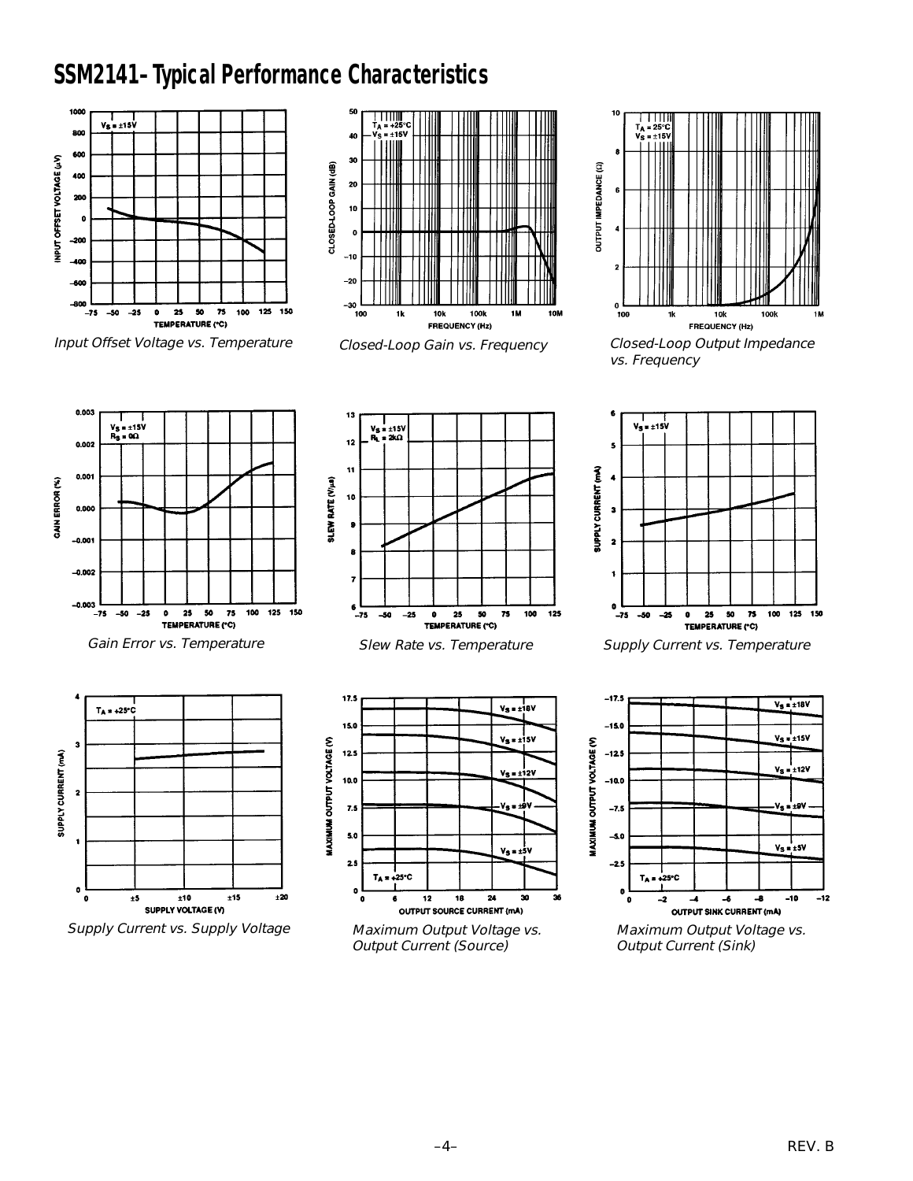## **SSM2141–Typical Performance Characteristics**

![](_page_3_Figure_1.jpeg)

Input Offset Voltage vs. Temperature

![](_page_3_Figure_3.jpeg)

Closed-Loop Gain vs. Frequency

![](_page_3_Figure_5.jpeg)

Closed-Loop Output Impedance vs. Frequency

![](_page_3_Figure_7.jpeg)

Gain Error vs. Temperature

![](_page_3_Figure_9.jpeg)

Supply Current vs. Supply Voltage

![](_page_3_Figure_11.jpeg)

Slew Rate vs. Temperature

![](_page_3_Figure_13.jpeg)

Maximum Output Voltage vs. Output Current (Source)

![](_page_3_Figure_15.jpeg)

Supply Current vs. Temperature

![](_page_3_Figure_17.jpeg)

Maximum Output Voltage vs. Output Current (Sink)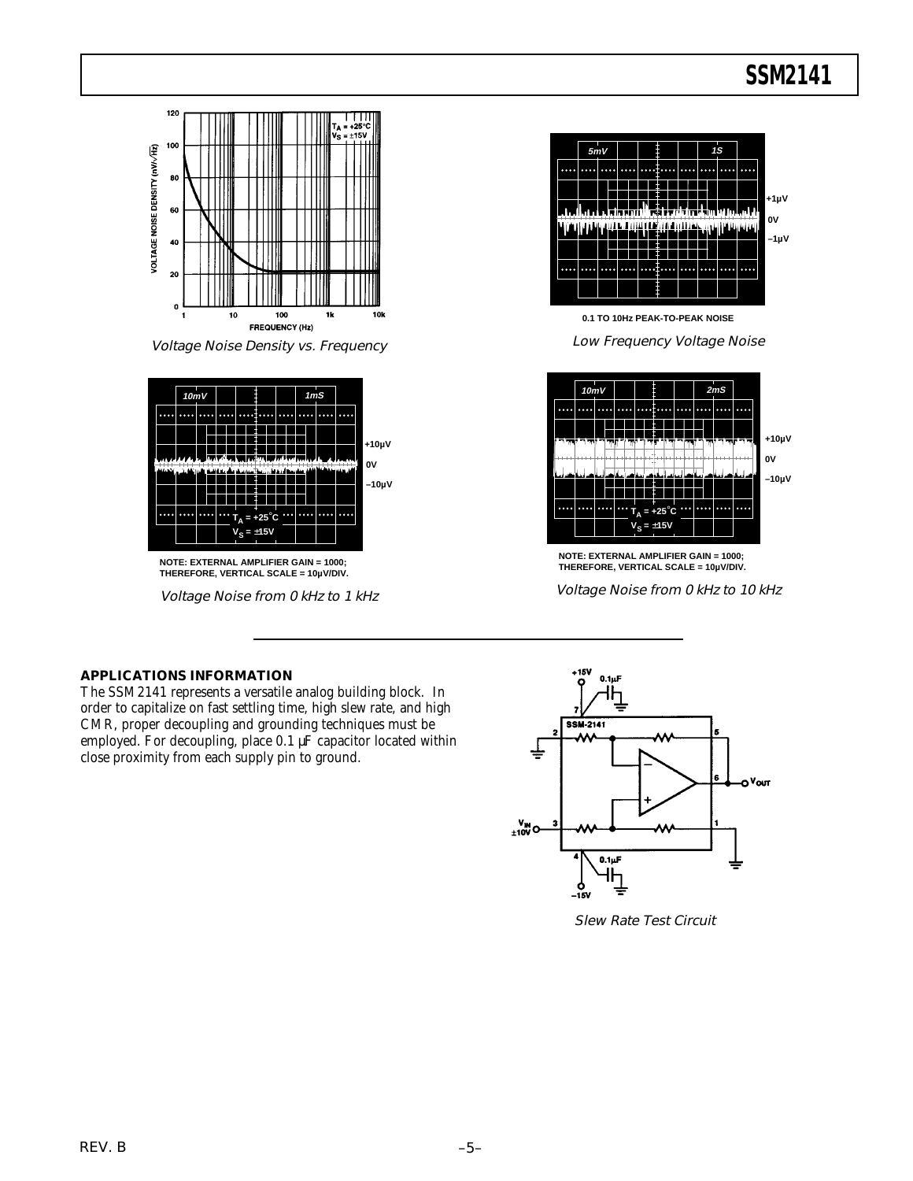![](_page_4_Figure_1.jpeg)

Voltage Noise Density vs. Frequency

![](_page_4_Figure_3.jpeg)

**NOTE: EXTERNAL AMPLIFIER GAIN = 1000; THEREFORE, VERTICAL SCALE = 10µV/DIV.**

Voltage Noise from 0 kHz to 1 kHz

![](_page_4_Figure_6.jpeg)

**0.1 TO 10Hz PEAK-TO-PEAK NOISE**

Low Frequency Voltage Noise

![](_page_4_Figure_9.jpeg)

**NOTE: EXTERNAL AMPLIFIER GAIN = 1000; THEREFORE, VERTICAL SCALE = 10µV/DIV.**

Voltage Noise from 0 kHz to 10 kHz

### **APPLICATIONS INFORMATION**

The SSM2141 represents a versatile analog building block. In order to capitalize on fast settling time, high slew rate, and high CMR, proper decoupling and grounding techniques must be employed. For decoupling, place 0.1 µF capacitor located within close proximity from each supply pin to ground.

![](_page_4_Figure_14.jpeg)

Slew Rate Test Circuit